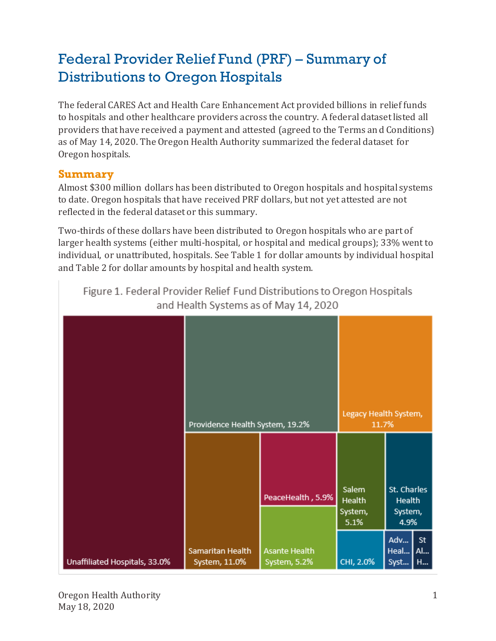# Federal Provider Relief Fund (PRF) – Summary of Distributions to Oregon Hospitals

The federal CARES Act and Health Care Enhancement Act provided billions in relief funds to hospitals and other healthcare providers across the country. A federal dataset listed all providers that have received a payment and attested (agreed to the Terms and Conditions) as of May 14, 2020. The Oregon Health Authority summarized the federal dataset for Oregon hospitals.

### **Summary**

Almost \$300 million dollars has been distributed to Oregon hospitals and hospital systems to date. Oregon hospitals that have received PRF dollars, but not yet attested are not reflected in the federal dataset or this summary.

Two-thirds of these dollars have been distributed to Oregon hospitals who are part of larger health systems (either multi-hospital, or hospital and medical groups); 33% went to individual, or unattributed, hospitals. See Table 1 for dollar amounts by individual hospital and Table 2 for dollar amounts by hospital and health system.

|                               | Providence Health System, 19.2%   |                                      | Legacy Health System,<br>11.7%            |                                                 |
|-------------------------------|-----------------------------------|--------------------------------------|-------------------------------------------|-------------------------------------------------|
|                               |                                   | PeaceHealth, 5.9%                    | Salem<br><b>Health</b><br>System,<br>5.1% | St. Charles<br><b>Health</b><br>System,<br>4.9% |
| Unaffiliated Hospitals, 33.0% | Samaritan Health<br>System, 11.0% | <b>Asante Health</b><br>System, 5.2% | CHI, 2.0%                                 | <b>St</b><br>Adv<br>Heal<br>  Al<br>Syst<br>  H |

Figure 1. Federal Provider Relief Fund Distributions to Oregon Hospitals and Health Systems as of May 14, 2020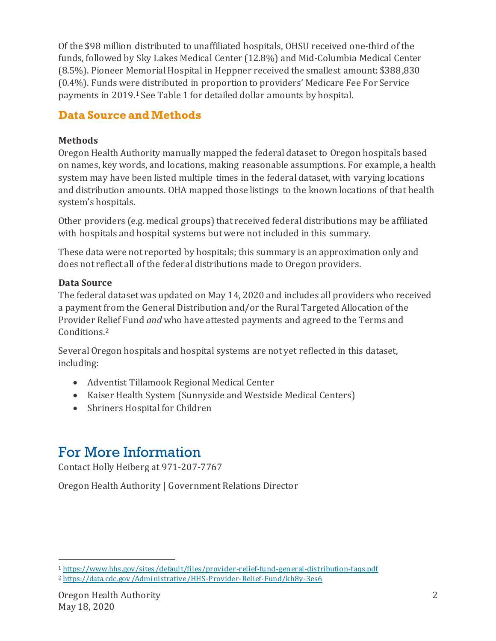Of the \$98 million distributed to unaffiliated hospitals, OHSU received one-third of the funds, followed by Sky Lakes Medical Center (12.8%) and Mid-Columbia Medical Center (8.5%). Pioneer Memorial Hospital in Heppner received the smallest amount: \$388,830 (0.4%). Funds were distributed in proportion to providers' Medicare Fee For Service payments in 2019.<sup>1</sup> See Table 1 for detailed dollar amounts by hospital.

## **Data Source and Methods**

### **Methods**

Oregon Health Authority manually mapped the federal dataset to Oregon hospitals based on names, key words, and locations, making reasonable assumptions. For example, a health system may have been listed multiple times in the federal dataset, with varying locations and distribution amounts. OHA mapped those listings to the known locations of that health system's hospitals.

Other providers (e.g. medical groups) that received federal distributions may be affiliated with hospitals and hospital systems but were not included in this summary.

These data were not reported by hospitals; this summary is an approximation only and does not reflect all of the federal distributions made to Oregon providers.

#### **Data Source**

The federal dataset was updated on May 14, 2020 and includes all providers who received a payment from the General Distribution and/or the Rural Targeted Allocation of the Provider Relief Fund *and* who have attested payments and agreed to the Terms and Conditions.<sup>2</sup>

Several Oregon hospitals and hospital systems are not yet reflected in this dataset, including:

- Adventist Tillamook Regional Medical Center
- Kaiser Health System (Sunnyside and Westside Medical Centers)
- Shriners Hospital for Children

# For More Information

Contact Holly Heiberg at 971-207-7767

Oregon Health Authority | Government Relations Director

<sup>1</sup> [https://www.hhs.gov/sites/defaul t/files/provider-relief-fund-general-distribution-faqs.pdf](https://www.hhs.gov/sites/default/files/provider-relief-fund-general-distribution-faqs.pdf)

<sup>2</sup> <https://data.cdc.gov/Administrative/HHS-Provider-Relief-Fund/kh8y-3es6>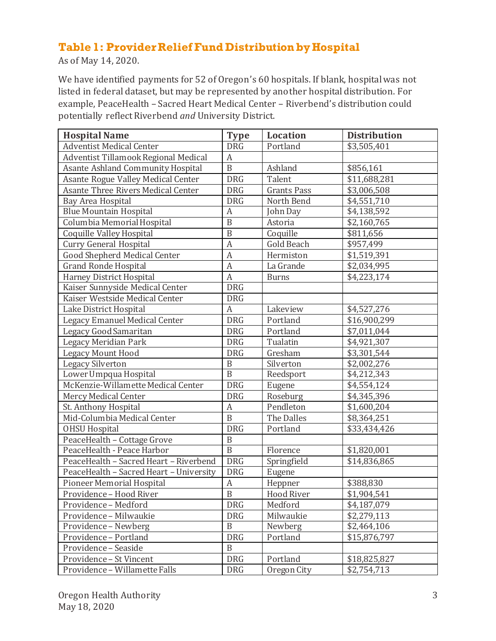## **Table 1: Provider Relief Fund Distribution by Hospital**

As of May 14, 2020.

We have identified payments for 52 of Oregon's 60 hospitals. If blank, hospital was not listed in federal dataset, but may be represented by another hospital distribution. For example, PeaceHealth – Sacred Heart Medical Center – Riverbend's distribution could potentially reflect Riverbend *and* University District.

| <b>Hospital Name</b>                      | <b>Type</b>      | <b>Location</b>    | <b>Distribution</b> |
|-------------------------------------------|------------------|--------------------|---------------------|
| <b>Adventist Medical Center</b>           | <b>DRG</b>       | Portland           | \$3,505,401         |
| Adventist Tillamook Regional Medical      | $\boldsymbol{A}$ |                    |                     |
| Asante Ashland Community Hospital         | $\overline{B}$   | Ashland            | \$856,161           |
| Asante Rogue Valley Medical Center        | <b>DRG</b>       | Talent             | \$11,688,281        |
| <b>Asante Three Rivers Medical Center</b> | <b>DRG</b>       | <b>Grants Pass</b> | \$3,006,508         |
| Bay Area Hospital                         | <b>DRG</b>       | North Bend         | \$4,551,710         |
| <b>Blue Mountain Hospital</b>             | $\boldsymbol{A}$ | John Day           | \$4,138,592         |
| Columbia Memorial Hospital                | $\overline{B}$   | Astoria            | \$2,160,765         |
| <b>Coquille Valley Hospital</b>           | $\mathbf B$      | Coquille           | \$811,656           |
| Curry General Hospital                    | A                | <b>Gold Beach</b>  | \$957,499           |
| <b>Good Shepherd Medical Center</b>       | $\mathbf{A}$     | Hermiston          | \$1,519,391         |
| <b>Grand Ronde Hospital</b>               | $\boldsymbol{A}$ | La Grande          | \$2,034,995         |
| <b>Harney District Hospital</b>           | $\boldsymbol{A}$ | <b>Burns</b>       | \$4,223,174         |
| Kaiser Sunnyside Medical Center           | <b>DRG</b>       |                    |                     |
| Kaiser Westside Medical Center            | <b>DRG</b>       |                    |                     |
| Lake District Hospital                    | $\boldsymbol{A}$ | Lakeview           | \$4,527,276         |
| Legacy Emanuel Medical Center             | <b>DRG</b>       | Portland           | \$16,900,299        |
| Legacy Good Samaritan                     | <b>DRG</b>       | Portland           | \$7,011,044         |
| Legacy Meridian Park                      | <b>DRG</b>       | Tualatin           | \$4,921,307         |
| <b>Legacy Mount Hood</b>                  | <b>DRG</b>       | Gresham            | \$3,301,544         |
| <b>Legacy Silverton</b>                   | $\, {\bf B}$     | Silverton          | \$2,002,276         |
| Lower Umpqua Hospital                     | B                | Reedsport          | \$4,212,343         |
| McKenzie-Willamette Medical Center        | <b>DRG</b>       | Eugene             | \$4,554,124         |
| Mercy Medical Center                      | <b>DRG</b>       | Roseburg           | \$4,345,396         |
| St. Anthony Hospital                      | A                | Pendleton          | \$1,600,204         |
| Mid-Columbia Medical Center               | B                | The Dalles         | \$8,364,251         |
| <b>OHSU Hospital</b>                      | <b>DRG</b>       | Portland           | \$33,434,426        |
| PeaceHealth - Cottage Grove               | $\mathbf B$      |                    |                     |
| PeaceHealth - Peace Harbor                | $\overline{B}$   | Florence           | \$1,820,001         |
| PeaceHealth - Sacred Heart - Riverbend    | <b>DRG</b>       | Springfield        | \$14,836,865        |
| PeaceHealth - Sacred Heart - University   | <b>DRG</b>       | Eugene             |                     |
| <b>Pioneer Memorial Hospital</b>          | $\boldsymbol{A}$ | Heppner            | \$388,830           |
| Providence - Hood River                   | $\overline{B}$   | Hood River         | \$1,904,541         |
| Providence - Medford                      | <b>DRG</b>       | Medford            | \$4,187,079         |
| Providence - Milwaukie                    | <b>DRG</b>       | Milwaukie          | \$2,279,113         |
| Providence - Newberg                      | $\mathbf B$      | Newberg            | \$2,464,106         |
| Providence - Portland                     | <b>DRG</b>       | Portland           | \$15,876,797        |
| Providence - Seaside                      | $\mathbf B$      |                    |                     |
| Providence - St Vincent                   | <b>DRG</b>       | Portland           | \$18,825,827        |
| Providence - Willamette Falls             | <b>DRG</b>       | Oregon City        | \$2,754,713         |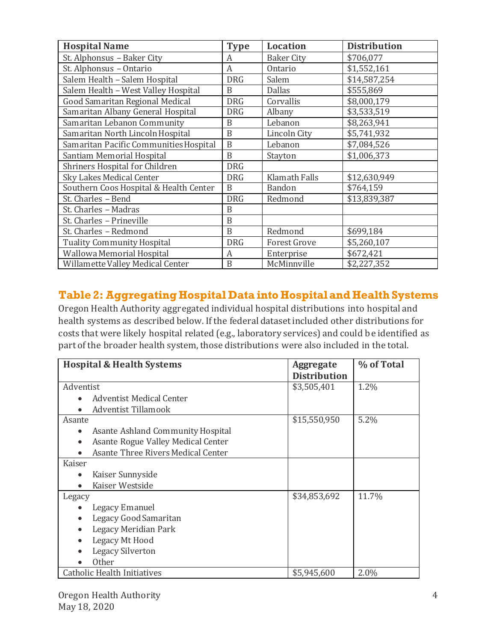| <b>Hospital Name</b>                   | <b>Type</b> | <b>Location</b>      | <b>Distribution</b> |
|----------------------------------------|-------------|----------------------|---------------------|
| St. Alphonsus - Baker City             | A           | <b>Baker City</b>    | \$706,077           |
| St. Alphonsus - Ontario                | A           | Ontario              | \$1,552,161         |
| Salem Health - Salem Hospital          | <b>DRG</b>  | Salem                | \$14,587,254        |
| Salem Health - West Valley Hospital    | R           | <b>Dallas</b>        | \$555,869           |
| <b>Good Samaritan Regional Medical</b> | <b>DRG</b>  | Corvallis            | \$8,000,179         |
| Samaritan Albany General Hospital      | <b>DRG</b>  | Albany               | \$3,533,519         |
| Samaritan Lebanon Community            | B           | Lebanon              | \$8,263,941         |
| Samaritan North Lincoln Hospital       | B           | Lincoln City         | \$5,741,932         |
| Samaritan Pacific Communities Hospital | B           | Lebanon              | \$7,084,526         |
| Santiam Memorial Hospital              | B           | Stayton              | \$1,006,373         |
| Shriners Hospital for Children         | <b>DRG</b>  |                      |                     |
| Sky Lakes Medical Center               | <b>DRG</b>  | <b>Klamath Falls</b> | \$12,630,949        |
| Southern Coos Hospital & Health Center | B           | <b>Bandon</b>        | \$764,159           |
| St. Charles - Bend                     | <b>DRG</b>  | Redmond              | \$13,839,387        |
| St. Charles - Madras                   | B           |                      |                     |
| St. Charles - Prineville               | B           |                      |                     |
| St. Charles - Redmond                  | B           | Redmond              | \$699,184           |
| <b>Tuality Community Hospital</b>      | <b>DRG</b>  | <b>Forest Grove</b>  | \$5,260,107         |
| Wallowa Memorial Hospital              | A           | Enterprise           | \$672,421           |
| Willamette Valley Medical Center       | $\mathbf B$ | McMinnville          | \$2,227,352         |

## **Table 2: Aggregating Hospital Data into Hospital and Health Systems**

Oregon Health Authority aggregated individual hospital distributions into hospital and health systems as described below. If the federal dataset included other distributions for costs that were likely hospital related (e.g., laboratory services) and could be identified as part of the broader health system, those distributions were also included in the total.

| <b>Hospital &amp; Health Systems</b>           | <b>Aggregate</b>    | % of Total |
|------------------------------------------------|---------------------|------------|
|                                                | <b>Distribution</b> |            |
| Adventist                                      | \$3,505,401         | $1.2\%$    |
| <b>Adventist Medical Center</b><br>$\bullet$   |                     |            |
| Adventist Tillamook                            |                     |            |
| Asante                                         | \$15,550,950        | 5.2%       |
| Asante Ashland Community Hospital<br>$\bullet$ |                     |            |
| Asante Rogue Valley Medical Center             |                     |            |
| Asante Three Rivers Medical Center             |                     |            |
| Kaiser                                         |                     |            |
| Kaiser Sunnyside<br>$\bullet$                  |                     |            |
| Kaiser Westside                                |                     |            |
| Legacy                                         | \$34,853,692        | 11.7%      |
| Legacy Emanuel                                 |                     |            |
| Legacy Good Samaritan                          |                     |            |
| Legacy Meridian Park                           |                     |            |
| Legacy Mt Hood                                 |                     |            |
| <b>Legacy Silverton</b>                        |                     |            |
| <b>Other</b>                                   |                     |            |
| Catholic Health Initiatives                    | \$5,945,600         | 2.0%       |